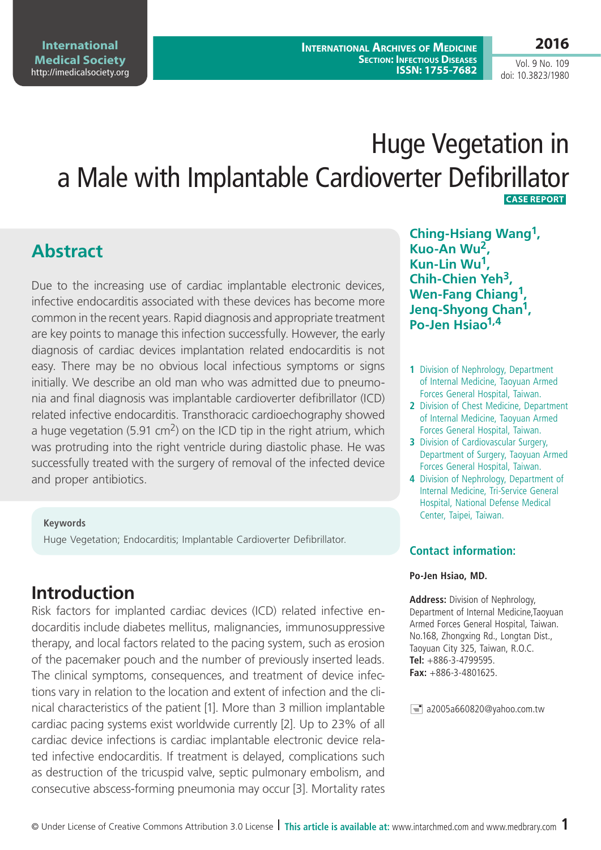**2016**

Vol. 9 No. 109 doi: 10.3823/1980

# Huge Vegetation in a Male with Implantable Cardioverter Defibrillator  **Case Report**

# **Abstract**

Due to the increasing use of cardiac implantable electronic devices, infective endocarditis associated with these devices has become more common in the recent years. Rapid diagnosis and appropriate treatment are key points to manage this infection successfully. However, the early diagnosis of cardiac devices implantation related endocarditis is not easy. There may be no obvious local infectious symptoms or signs initially. We describe an old man who was admitted due to pneumonia and final diagnosis was implantable cardioverter defibrillator (ICD) related infective endocarditis. Transthoracic cardioechography showed a huge vegetation (5.91 cm<sup>2</sup>) on the ICD tip in the right atrium, which was protruding into the right ventricle during diastolic phase. He was successfully treated with the surgery of removal of the infected device and proper antibiotics.

#### **Keywords**

Huge Vegetation; Endocarditis; Implantable Cardioverter Defibrillator.

# **Introduction**

Risk factors for implanted cardiac devices (ICD) related infective endocarditis include diabetes mellitus, malignancies, immunosuppressive therapy, and local factors related to the pacing system, such as erosion of the pacemaker pouch and the number of previously inserted leads. The clinical symptoms, consequences, and treatment of device infections vary in relation to the location and extent of infection and the clinical characteristics of the patient [1]. More than 3 million implantable cardiac pacing systems exist worldwide currently [2]. Up to 23% of all cardiac device infections is cardiac implantable electronic device related infective endocarditis. If treatment is delayed, complications such as destruction of the tricuspid valve, septic pulmonary embolism, and consecutive abscess-forming pneumonia may occur [3]. Mortality rates

**Ching-Hsiang Wang1, Kuo-An Wu2, Kun-Lin Wu1, Chih-Chien Yeh3, Wen-Fang Chiang<sup>1</sup> Jenq-Shyong Chan1, Po-Jen Hsiao1,4**

- **1** Division of Nephrology, Department of Internal Medicine, Taoyuan Armed Forces General Hospital, Taiwan.
- **2** Division of Chest Medicine, Department of Internal Medicine, Taoyuan Armed Forces General Hospital, Taiwan.
- **3** Division of Cardiovascular Surgery, Department of Surgery, Taoyuan Armed Forces General Hospital, Taiwan.
- **4** Division of Nephrology, Department of Internal Medicine, Tri-Service General Hospital, National Defense Medical Center, Taipei, Taiwan.

### **Contact information:**

#### **Po-Jen Hsiao, MD.**

**Address:** Division of Nephrology, Department of Internal Medicine,Taoyuan Armed Forces General Hospital, Taiwan. No.168, Zhongxing Rd., Longtan Dist., Taoyuan City 325, Taiwan, R.O.C. **Tel:** +886-3-4799595. **Fax:** +886-3-4801625.

 $\equiv$  a2005a660820@yahoo.com.tw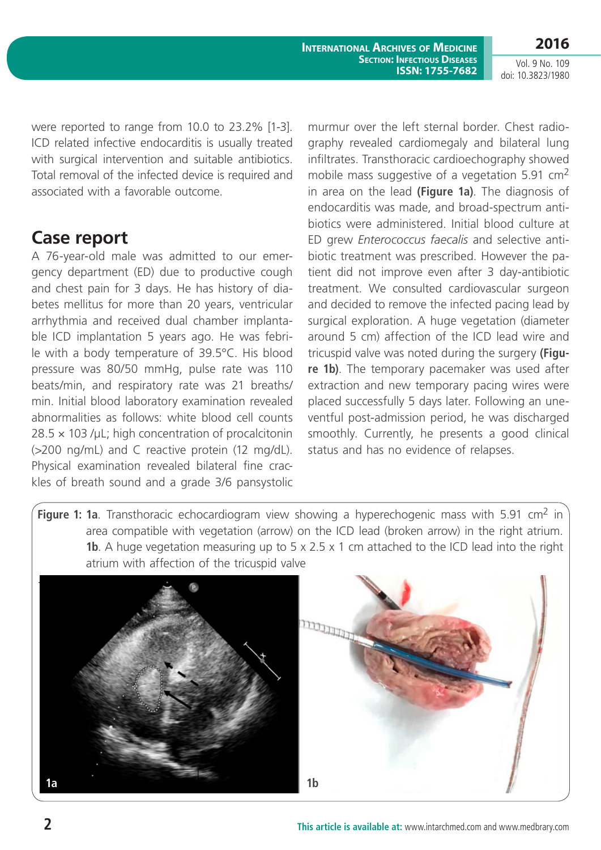Vol. 9 No. 109 doi: 10.3823/1980

were reported to range from 10.0 to 23.2% [1-3]. ICD related infective endocarditis is usually treated with surgical intervention and suitable antibiotics. Total removal of the infected device is required and associated with a favorable outcome.

### **Case report**

A 76-year-old male was admitted to our emergency department (ED) due to productive cough and chest pain for 3 days. He has history of diabetes mellitus for more than 20 years, ventricular arrhythmia and received dual chamber implantable ICD implantation 5 years ago. He was febrile with a body temperature of 39.5°C. His blood pressure was 80/50 mmHg, pulse rate was 110 beats/min, and respiratory rate was 21 breaths/ min. Initial blood laboratory examination revealed abnormalities as follows: white blood cell counts  $28.5 \times 103$  /μL; high concentration of procalcitonin (>200 ng/mL) and C reactive protein (12 mg/dL). Physical examination revealed bilateral fine crackles of breath sound and a grade 3/6 pansystolic

murmur over the left sternal border. Chest radiography revealed cardiomegaly and bilateral lung infiltrates. Transthoracic cardioechography showed mobile mass suggestive of a vegetation 5.91 cm<sup>2</sup> in area on the lead **(Figure 1a)**. The diagnosis of endocarditis was made, and broad-spectrum antibiotics were administered. Initial blood culture at ED grew *Enterococcus faecalis* and selective antibiotic treatment was prescribed. However the patient did not improve even after 3 day-antibiotic treatment. We consulted cardiovascular surgeon and decided to remove the infected pacing lead by surgical exploration. A huge vegetation (diameter around 5 cm) affection of the ICD lead wire and tricuspid valve was noted during the surgery **(Figure 1b)**. The temporary pacemaker was used after extraction and new temporary pacing wires were placed successfully 5 days later. Following an uneventful post-admission period, he was discharged smoothly. Currently, he presents a good clinical status and has no evidence of relapses.

**Figure 1: 1a**. Transthoracic echocardiogram view showing a hyperechogenic mass with 5.91 cm<sup>2</sup> in area compatible with vegetation (arrow) on the ICD lead (broken arrow) in the right atrium. **1b**. A huge vegetation measuring up to 5 x 2.5 x 1 cm attached to the ICD lead into the right atrium with affection of the tricuspid valve